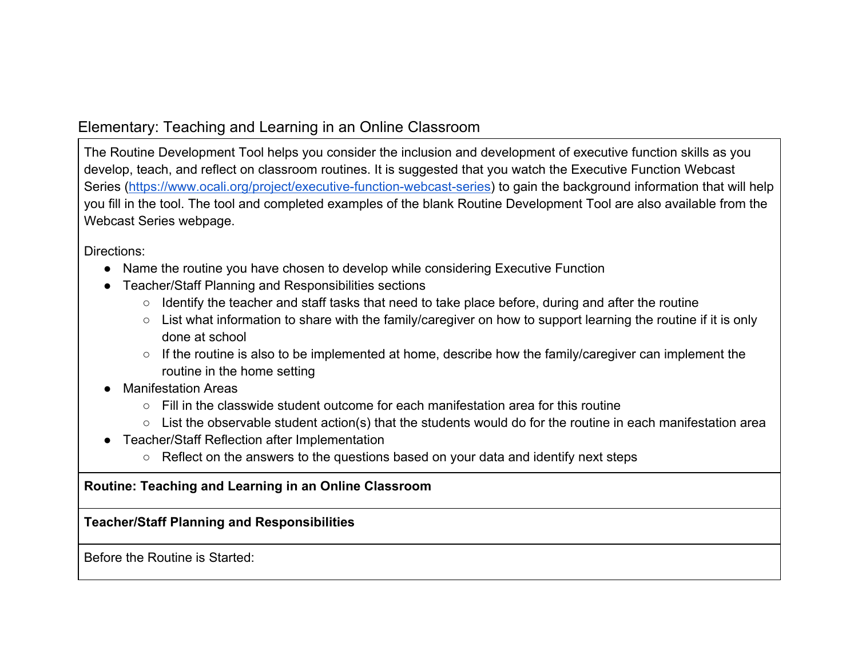## Elementary: Teaching and Learning in an Online Classroom

The Routine Development Tool helps you consider the inclusion and development of executive function skills as you develop, teach, and reflect on classroom routines. It is suggested that you watch the Executive Function Webcast Series [\(https://www.ocali.org/project/executive-function-webcast-series\)](https://www.ocali.org/project/executive-function-webcast-series) to gain the background information that will help you fill in the tool. The tool and completed examples of the blank Routine Development Tool are also available from the Webcast Series webpage.

Directions:

- Name the routine you have chosen to develop while considering Executive Function
- Teacher/Staff Planning and Responsibilities sections
	- Identify the teacher and staff tasks that need to take place before, during and after the routine
	- List what information to share with the family/caregiver on how to support learning the routine if it is only done at school
	- If the routine is also to be implemented at home, describe how the family/caregiver can implement the routine in the home setting
- Manifestation Areas
	- $\circ$  Fill in the classwide student outcome for each manifestation area for this routine
	- List the observable student action(s) that the students would do for the routine in each manifestation area
- Teacher/Staff Reflection after Implementation
	- Reflect on the answers to the questions based on your data and identify next steps

## **Routine: Teaching and Learning in an Online Classroom**

**Teacher/Staff Planning and Responsibilities**

Before the Routine is Started: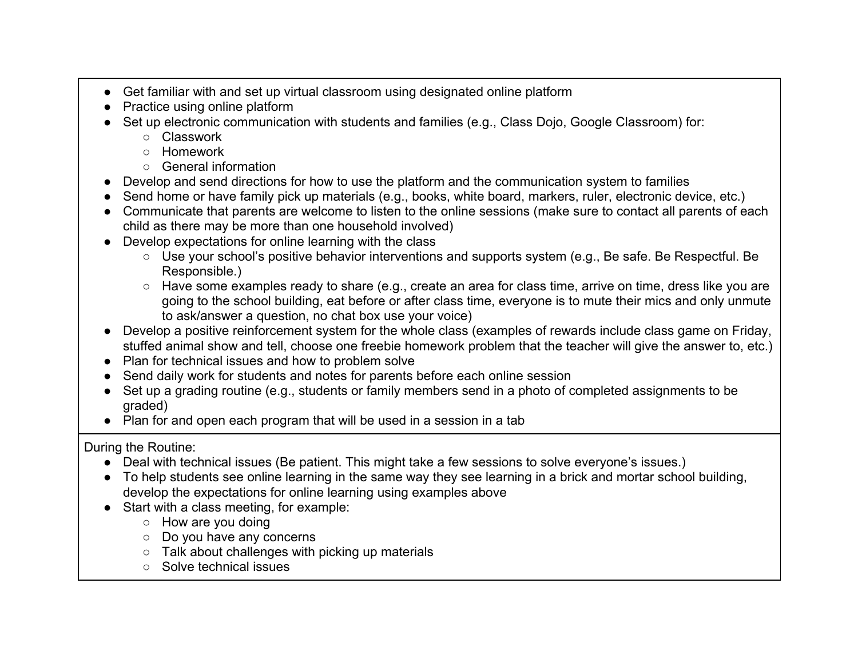- Get familiar with and set up virtual classroom using designated online platform
- Practice using online platform
- Set up electronic communication with students and families (e.g., Class Dojo, Google Classroom) for:
	- Classwork
	- Homework
	- General information
- Develop and send directions for how to use the platform and the communication system to families
- Send home or have family pick up materials (e.g., books, white board, markers, ruler, electronic device, etc.)
- Communicate that parents are welcome to listen to the online sessions (make sure to contact all parents of each child as there may be more than one household involved)
- Develop expectations for online learning with the class
	- Use your school's positive behavior interventions and supports system (e.g., Be safe. Be Respectful. Be Responsible.)
	- Have some examples ready to share (e.g., create an area for class time, arrive on time, dress like you are going to the school building, eat before or after class time, everyone is to mute their mics and only unmute to ask/answer a question, no chat box use your voice)
- Develop a positive reinforcement system for the whole class (examples of rewards include class game on Friday, stuffed animal show and tell, choose one freebie homework problem that the teacher will give the answer to, etc.)
- Plan for technical issues and how to problem solve
- Send daily work for students and notes for parents before each online session
- Set up a grading routine (e.g., students or family members send in a photo of completed assignments to be graded)
- Plan for and open each program that will be used in a session in a tab

During the Routine:

- Deal with technical issues (Be patient. This might take a few sessions to solve everyone's issues.)
- To help students see online learning in the same way they see learning in a brick and mortar school building, develop the expectations for online learning using examples above
- Start with a class meeting, for example:
	- How are you doing
	- Do you have any concerns
	- Talk about challenges with picking up materials
	- Solve technical issues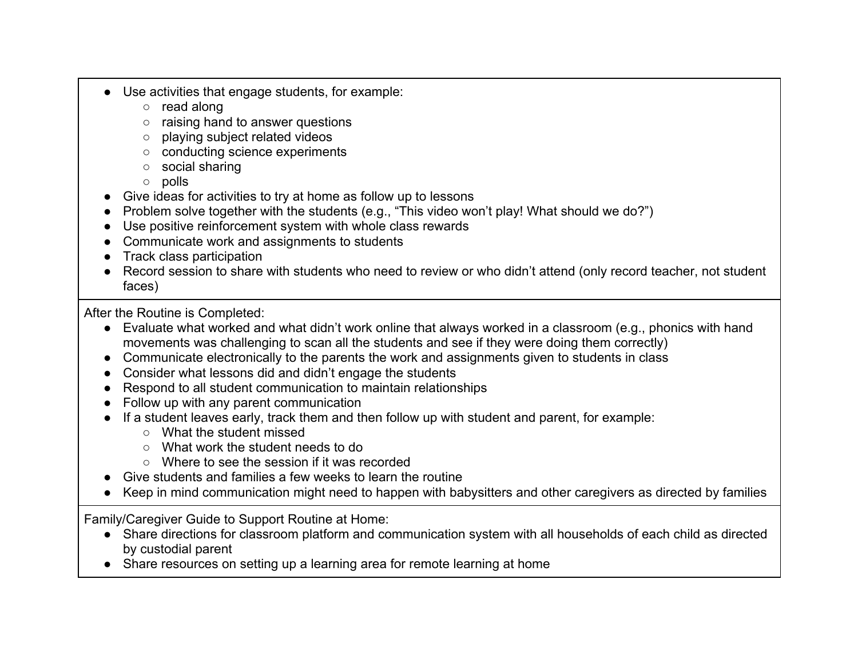- Use activities that engage students, for example:
	- read along
	- raising hand to answer questions
	- playing subject related videos
	- conducting science experiments
	- social sharing
	- polls
- Give ideas for activities to try at home as follow up to lessons
- Problem solve together with the students (e.g., "This video won't play! What should we do?")
- Use positive reinforcement system with whole class rewards
- Communicate work and assignments to students
- Track class participation
- Record session to share with students who need to review or who didn't attend (only record teacher, not student faces)

After the Routine is Completed:

- Evaluate what worked and what didn't work online that always worked in a classroom (e.g., phonics with hand movements was challenging to scan all the students and see if they were doing them correctly)
- Communicate electronically to the parents the work and assignments given to students in class
- Consider what lessons did and didn't engage the students
- Respond to all student communication to maintain relationships
- Follow up with any parent communication
- If a student leaves early, track them and then follow up with student and parent, for example:
	- What the student missed
	- What work the student needs to do
	- Where to see the session if it was recorded
- $\bullet$  Give students and families a few weeks to learn the routine
- Keep in mind communication might need to happen with babysitters and other caregivers as directed by families

Family/Caregiver Guide to Support Routine at Home:

- Share directions for classroom platform and communication system with all households of each child as directed by custodial parent
- Share resources on setting up a learning area for remote learning at home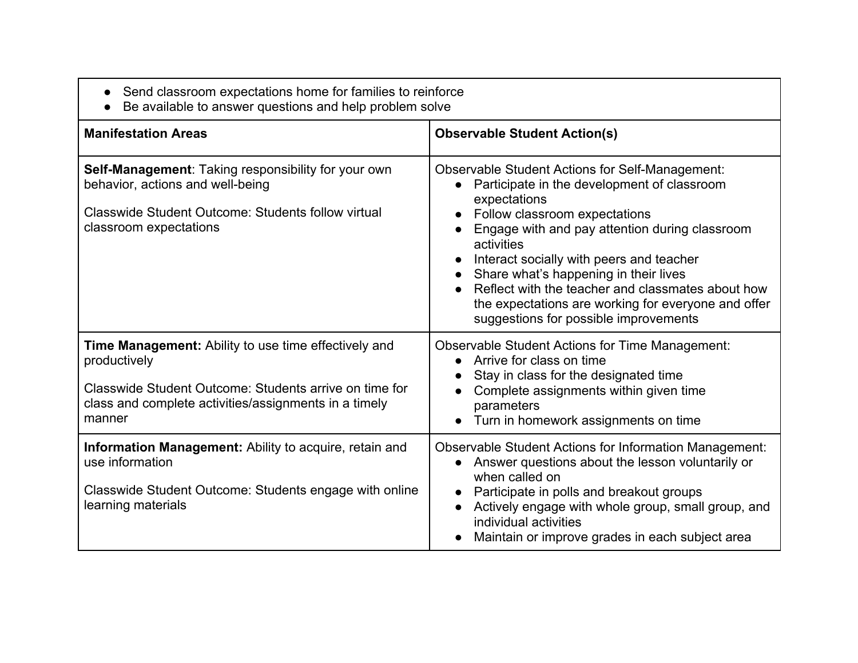| Send classroom expectations home for families to reinforce<br>Be available to answer questions and help problem solve                                                                             |                                                                                                                                                                                                                                                                                                                                                                                                                                                                  |
|---------------------------------------------------------------------------------------------------------------------------------------------------------------------------------------------------|------------------------------------------------------------------------------------------------------------------------------------------------------------------------------------------------------------------------------------------------------------------------------------------------------------------------------------------------------------------------------------------------------------------------------------------------------------------|
| <b>Manifestation Areas</b>                                                                                                                                                                        | <b>Observable Student Action(s)</b>                                                                                                                                                                                                                                                                                                                                                                                                                              |
| Self-Management: Taking responsibility for your own<br>behavior, actions and well-being<br><b>Classwide Student Outcome: Students follow virtual</b><br>classroom expectations                    | <b>Observable Student Actions for Self-Management:</b><br>Participate in the development of classroom<br>expectations<br>Follow classroom expectations<br>Engage with and pay attention during classroom<br>activities<br>Interact socially with peers and teacher<br>Share what's happening in their lives<br>Reflect with the teacher and classmates about how<br>the expectations are working for everyone and offer<br>suggestions for possible improvements |
| Time Management: Ability to use time effectively and<br>productively<br>Classwide Student Outcome: Students arrive on time for<br>class and complete activities/assignments in a timely<br>manner | <b>Observable Student Actions for Time Management:</b><br>Arrive for class on time<br>Stay in class for the designated time<br>Complete assignments within given time<br>parameters<br>Turn in homework assignments on time<br>$\bullet$                                                                                                                                                                                                                         |
| Information Management: Ability to acquire, retain and<br>use information<br>Classwide Student Outcome: Students engage with online<br>learning materials                                         | <b>Observable Student Actions for Information Management:</b><br>Answer questions about the lesson voluntarily or<br>when called on<br>Participate in polls and breakout groups<br>Actively engage with whole group, small group, and<br>individual activities<br>Maintain or improve grades in each subject area                                                                                                                                                |